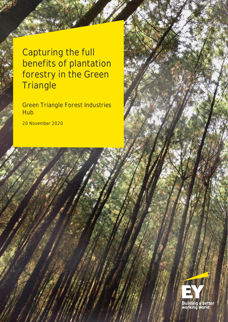Capturing the full benefits of plantation forestry in the Green **Triangle** 

Green Triangle Forest Industries **Hub** 

20 November 2020

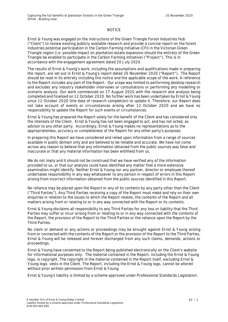#### **NOTICE**

Ernst & Young was engaged on the instructions of the Green Triangle Forest Industries Hub ("**Client**") to review existing publicly available research and provide a concise report on the forest industries potential participation in the Carbon Farming Initiative (CFI) in the Victorian Green Triangle region (i.e. possible impact on plantation estate expansion should the entirety of the Green Triangle be enabled to participate in the Carbon Farming Initiative) **("Project")**. This is in accordance with the engagement agreement dated 20 July 2020.

The results of Ernst & Young's work, including the assumptions and qualifications made in preparing the report, are set out in Ernst & Young's report dated 20 November 2020 ("**Report**"). The Report should be read in its entirety including this notice and the applicable scope of the work. A reference to the Report includes any part of the Report. Our scope was limited to performing desktop research and excludes any industry stakeholder interviews or consultations or performing any modelling or scenario analysis. Our work commenced on 17 August 2020 with the research and analysis being completed and finalised on 12 October 2020. No further work has been undertaken by Ernst & Young since 12 October 2020 (the date of research completion) to update it. Therefore, our Report does not take account of events or circumstances arising after 12 October 2020 and we have no responsibility to update the Report for such events or circumstances.

Ernst & Young has prepared the Report solely for the benefit of the Client and has considered only the interests of the Client. Ernst & Young has not been engaged to act, and has not acted, as advisor to any other party. Accordingly, Ernst & Young makes no representations as to the appropriateness, accuracy or completeness of the Report for any other party's purposes.

In preparing this Report we have considered and relied upon information from a range of sources available in public domain only and are believed to be reliable and accurate. We have not come across any reason to believe that any information obtained from the public sources was false and inaccurate or that any material information has been withheld from us.

We do not imply and it should not be construed that we have verified any of the information provided to us, or that our analysis could have identified any matter that a more extensive examination might identify. Neither Ernst & Young nor any partner, director or employee thereof undertakes responsibility in any way whatsoever to any person in respect of errors in this Report arising from incorrect information obtained from the public sources identified in this Report.

No reliance may be placed upon the Report or any of its contents by any party other than the Client ("Third Parties"). Any Third Parties receiving a copy of the Report must make and rely on their own enquiries in relation to the issues to which the Report relates, the contents of the Report and all matters arising from or relating to or in any way connected with the Report or its contents.

Ernst & Young disclaims all responsibility to any Third Parties for any loss or liability that the Third Parties may suffer or incur arising from or relating to or in any way connected with the contents of the Report, the provision of the Report to the Third Parties or the reliance upon the Report by the Third Parties.

No claim or demand or any actions or proceedings may be brought against Ernst & Young arising from or connected with the contents of the Report or the provision of the Report to the Third Parties. Ernst & Young will be released and forever discharged from any such claims, demands, actions or proceedings.

Ernst & Young have consented to the Report being published electronically on the Client's website for informational purposes only. The material contained in the Report, including the Ernst & Young logo, is copyright. The copyright in the material contained in the Report itself, excluding Ernst & Young logo, vests in the Client. The Report, including the Ernst & Young logo, cannot be altered without prior written permission from Ernst & Young.

Ernst & Young's liability is limited by a scheme approved under Professional Standards Legislation.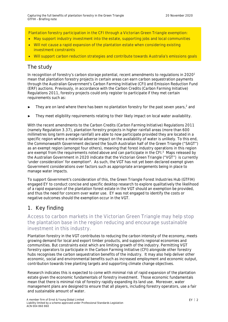**Plantation forestry participation in the CFI through a Victorian Green Triangle exemption:**

- **May support industry investment into the estate, supporting jobs and local communities**
- **Will not cause a rapid expansion of the plantation estate when considering existing investment constraints**
- **Will support carbon reduction strategies and contribute towards Australia's emissions goals**

## **The study**

In recognition of forestry's carbon storage potential, recent amendments to regulations in 2020<sup>1</sup> mean that plantation forestry projects in certain areas can earn carbon sequestration payments through the Australian Government's Carbon Farming Initiative (CFI) and Emission Reduction Fund (ERF) auctions. Previously, in accordance with the *Carbon Credits (Carbon Farming Initiative) Regulations 2011,* forestry projects could only register to participate if they met certain requirements such as:

- $\blacktriangleright$  They are on land where there has been no plantation forestry for the past seven years,<sup>2</sup> and
- They meet eligibility requirements relating to their likely impact on local water availability.

With the recent amendments to the *Carbon Credits (Carbon Farming Initiative) Regulations 2011* (namely Regulation 3.37), plantation forestry projects in higher rainfall areas (more than 600 millimetres long term average rainfall) are able to now participate provided they are located in a specific region where a material adverse impact on the availability of water is unlikely. To this end, the Commonwealth Government declared the South Australian half of the Green Triangle ("SAGT") as an exempt region (amongst four others), meaning that forest industry operations in this region are exempt from the requirements noted above and can participate in the CFI.<sup>3</sup> Maps released by the Australian Government in 2020 indicate that the Victorian Green Triangle ("VGT") is currently 'under consideration' for exemption<sup>4</sup>. As such, the VGT has not yet been declared exempt given Government considerations over factors such as appropriate arrangements being in place to manage water impacts.

To support Government's consideration of this, the Green Triangle Forest Industries Hub (GTFIH) engaged EY to conduct concise and specific desktop research to explore qualitatively the likelihood of a rapid expansion of the plantation forest estate in the VGT should an exemption be provided, and thus the need for concern over water use. EY was not engaged to identify the costs or negative outcomes should the exemption occur in the VGT.

## **1. Key finding**

**Access to carbon markets in the Victorian Green Triangle may help stop the plantation base in the region reducing and encourage sustainable investment in this industry.**

Plantation forestry in the VGT contributes to reducing the carbon intensity of the economy, meets growing demand for local and export timber products, and supports regional economies and communities. But constraints exist which are limiting growth of the industry. Permitting VGT forestry operators to participate in the Carbon Farming Initiative (CFI) alongside other forestry hubs recognises the carbon sequestration benefits of the industry. It may also help deliver other economic, social and environmental benefits such as increased employment and economic output, contribution towards tree planting targets and supporting climate change objectives.

Research indicates this is expected to come with minimal risk of rapid expansion of the plantation estate given the economic fundamentals of forestry investment. Those economic fundamentals mean that there is minimal risk of forestry rapidly expanding its land use. Moreover, water management plans are designed to ensure that all players, including forestry operators, use a fair and sustainable amount of water.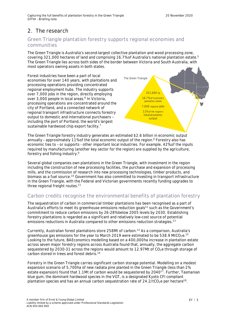# **2. The research**

#### **Green Triangle plantation forestry supports regional economies and communities**

The Green Triangle is Australia's second-largest collective plantation and wood processing zone, covering 321,000 hectares of land and comprising 16.7% of Australia's national plantation estate.<sup>5</sup> The Green Triangle lies across both sides of the border between Victoria and South Australia, with most operators owning assets in both states.

Forest industries have been a part of local economies for over 140 years, with plantations and processing operations providing concentrated regional employment hubs. The industry supports over 7,000 jobs in the region, directly employing over 3,000 people in local areas.<sup>6</sup> In Victoria, processing operations are concentrated around the city of Portland, and a connected network of regional transport infrastructure connects forestry output to domestic and international purchasers – including the port of Portland, the world's largest sustainable hardwood chip export facility.<sup>7</sup> **The Green Triangle 321,000** ha **16.7%** of Australia's plantation estate **7,000** regional **jobs 11%** of the region's **total economic output**

The Green Triangle forestry industry generates an estimated \$2.6 billion in economic output annually - approximately 11% of the total economic output of the region.<sup>8</sup> Forestry also has economic ties to – or supports - other important local industries. For example, 42% of the inputs required by manufacturing (another key sector for the region) are supplied by the agriculture, forestry and fishing industry.<sup>9</sup>

Several global companies own plantations in the Green Triangle, with investment in the region including the construction of new processing facilities, the purchase and expansion of processing mills, and the commission of research into new processing technologies, timber products, and biomass as a fuel source.<sup>10</sup> Government has also committed to investing in transport infrastructure in the Green Triangle, with the Federal and Victorian governments recently funding upgrades to three regional freight routes.<sup>11</sup>

#### **Carbon credits recognise the environmental benefits of plantation forestry**

The sequestration of carbon in commercial timber plantations has been recognised as a part of Australia's efforts to meet its greenhouse emissions reduction goals<sup>12</sup> such as the Government's commitment to reduce carbon emissions by 26-28% below 2005 levels by 2030. Establishing forestry plantations is regarded as a significant and relatively low-cost source of potential emissions reductions in Australia compared to other emissions reduction strategies.<sup>13</sup>

Currently, Australian forest plantations store 258Mt of carbon.<sup>14</sup> As a comparison, Australia's greenhouse gas emissions for the year to March 2019 were estimated to be 538.9 MtCO<sub>2</sub>e.<sup>15</sup> Looking to the future, BAEconomics modelling based on a 400,000ha increase in plantation estate across seven major forestry regions across Australia found that, annually, the aggregate carbon sequestered by 2030-31 across the regions would amount to 12.97Mt of CO<sub>2</sub>e through storage of carbon stored in trees and forest debris.<sup>16</sup>

Forestry in the Green Triangle carries significant carbon storage potential. Modelling on a modest expansion scenario of 5,700ha of new radiata pine planted in the Green Triangle (less than 2% estate expansion) found that 1.1Mt of carbon would be sequestered by  $2040^{17}$ . Further, Tasmanian blue gum, the dominant hardwood species in the VGT, is a designated Kyoto CFI compliant plantation species and has an annual carbon sequestration rate of  $24.2/tCO_2e$  per hectare<sup>18</sup>.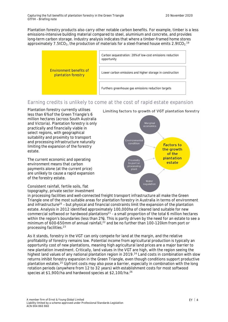Plantation forestry products also carry other notable carbon benefits. For example, timber is a less emissions-intensive building material compared to steel, aluminium and concrete, and provides long-term carbon storage. Industry analysis indicates that where a timber-framed home stores approximately 7.5tCO<sub>2</sub>, the production of materials for a steel-framed house emits  $2.9$ tCO<sub>2.</sub><sup>19</sup>



## **Earning credits is unlikely to come at the cost of rapid estate expansion**

Plantation forestry currently utilises less than 6% of the Green Triangle's 6 million hectares (across South Australia and Victoria). Plantation forestry is only practically and financially viable in select regions, with geographical suitability and proximity to transport and processing infrastructure naturally limiting the expansion of the forestry estate.

The current economic and operating environment means that carbon payments alone (at the current price) are unlikely to cause a rapid expansion of the forestry estate.

Consistent rainfall, fertile soils, flat topography, private sector investment

in processing facilities and well-connected freight transport infrastructure all make the Green Triangle one of the most suitable areas for plantation forestry in Australia in terms of environment and infrastructure<sup>20</sup> – but physical and financial constraints limit the expansion of the plantation estate. Analysis in 2012 identified approximately 100,000ha of cleared land suitable for new commercial softwood or hardwood plantations $^{21}$  - a small proportion of the total 6 million hectares within the region's boundaries (less than 2%). This is partly driven by the need for an estate to see a minimum of  $600-650$ mm of annual rainfall, $^{22}$  and be no further than 100-120km from port or processing facilities.<sup>23</sup>

As it stands, forestry in the VGT can only compete for land at the margin, and the relative profitability of forestry remains low. Potential income from agricultural production is typically an opportunity cost of new plantations, meaning high agricultural land prices are a major barrier to new plantation investment. Critically, land values in the VGT are high, with the region seeing the highest land values of any national plantation region in 2019.<sup>24</sup> Land costs in combination with slow returns inhibit forestry expansion in the Green Triangle, even though conditions support productive plantation estates.<sup>25</sup> Upfront costs may also pose a barrier, especially in combination with the long rotation periods (anywhere from 12 to 32 years) with establishment costs for most softwood species at \$1,900/ha and hardwood species at \$2,100/ha.<sup>26</sup>

Limiting factors to growth of VGT plantation forestry

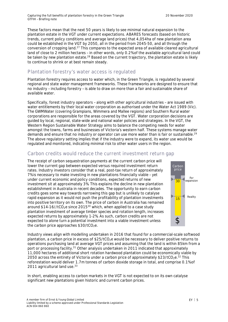These factors mean that the next 50 years is likely to see minimal natural expansion to the plantation estate in the VGT under current expectations. ABARES forecasts (based on historic trends, current policy conditions and average land prices) that 4,054ha of new plantation area could be established in the VGT by 2050, all in the period from 2045-50, and all through the conversion of cropping land.<sup>27</sup> This compares to the expected area of available cleared agricultural land of close to 2 million hectares – in other words, only 0.2% of the available agricultural land could be taken by new plantation estate.<sup>28</sup> Based on the current trajectory, the plantation estate is likely to continue to shrink or at best remain steady.

### **Plantation forestry's water access is regulated**

Plantation forestry requires access to water which, in the Green Triangle, is regulated by several regional and state water management frameworks. These frameworks are designed to ensure that no industry – including forestry – is able to draw on more than a fair and sustainable share of available water.

Specifically, forest industry operators – along with other agricultural industries – are issued with water entitlements by their local water corporation as authorised under the *Water Act 1989 (Vic).* The GWMWater (covering Grampians, Wimmera and Mallee regions) and Southern Rural water corporations are responsible for the areas covered by the VGT. Water corporation decisions are guided by local, regional, state-wide and national water policies and strategies. In the VGT, the *Western Region Sustainable Water Strategy* aims to balance the competing needs for water amongst the towns, farms and businesses of Victoria's western half. These systems manage water demands and ensure that no industry or operator can use more water than is fair or sustainable.<sup>29</sup> The above regulatory setting implies that if the industry were to expand, its water use would be regulated and monitored, indicating minimal risk to other water users in the region.

#### **Carbon credits would reduce the current investment return gap**

The receipt of carbon sequestration payments at the current carbon price will lower the current gap between expected versus required investment return rates. Industry investors consider that a real, post-tax return of approximately 7% is necessary to make investing in new plantations financially viable – yet under current economic and policy conditions, expected returns of new investment sit at approximately 3%. This explains the decline in new plantation establishment in Australia in recent decades. The opportunity to earn carbon credits goes some way towards narrowing this gap but is unlikely to catalyse rapid expansion as it would not push the profitability of plantation investments into positive territory on its own. The price of carbon in Australia has remained around  $$14-16//1CO<sub>2</sub>e$  since 2015<sup>30</sup> which, when applied to a case study plantation investment of average timber species and rotation length, increases expected returns by approximately 1-2%. As such, carbon credits are not expected to alone turn a potential investment into a viable investment unless the carbon price approaches  $$30/tCO<sub>2</sub>e$ .



Industry views align with modelling undertaken in 2016 that found for a commercial-scale softwood plantation, a carbon price in excess of  $$25/tCO<sub>2</sub>e$  would be necessary to deliver positive returns to operations purchasing land at average VGT prices and assuming that the land is within 85km from a port or processing facility.<sup>31</sup> Other analysis undertaken in 2011 indicated that approximately 11,000 hectares of additional short rotation hardwood plantation could be economically viable by 2050 across the entirety of Victoria under a carbon price of approximately \$23/tCO<sub>2</sub>e.<sup>32</sup> This reforestation would deliver 1.7m tonnes of carbon dioxide storage in total, and comprise 0.1% of 2011 agricultural land use.<sup>33</sup>

In short, enabling access to carbon markets in the VGT is not expected to on its own catalyse significant new plantations given historic and current carbon prices.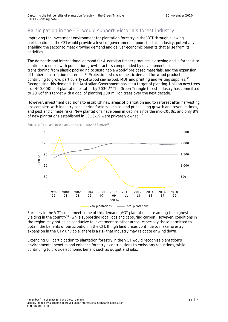## **Participation in the CFI would support Victoria's forest industry**

Improving the investment environment for plantation forestry in the VGT through allowing participation in the CFI would provide a level of government support for this industry, potentially enabling the sector to meet growing demand and deliver economic benefits that arise from its activities.

The domestic and international demand for Australian timber products is growing and is forecast to continue to do so, with population growth factors compounded by developments such as transitioning from plastic packaging to sustainable wood-fibre based materials, and the expansion of timber construction materials.<sup>34</sup> Projections show domestic demand for wood products continuing to grow, particularly softwood sawnwood, MDF and printing and writing supplies.<sup>35</sup> Recognising this demand, the Australian Government has set a target of planting 1 billion new trees – or 400,000ha of plantation estate – by 2030.<sup>36</sup> The Green Triangle forest industry has committed to 20% of this target with a goal of planting 200 million trees over the next decade.

However, investment decisions to establish new areas of plantation and to reforest after harvesting are complex, with industry considering factors such as land prices, long growth and revenue times, and pest and climate risks. New plantations have been in decline since the mid-2000s, and only 8% of new plantations established in 2018-19 were privately owned.<sup>37</sup>



**Figure 1: Total and new plantation area - ABARES 2020<sup>38</sup>**

Forestry in the VGT could meet some of this demand (VGT plantations are among the highest yielding in the country<sup>39</sup>) while supporting local jobs and capturing carbon. However, conditions in the region may not be as conducive to investment as other areas, especially those permitted to obtain the benefits of participation in the CFI. If high land prices continue to make forestry expansion in the GTV unviable, there is a risk that industry may relocate or wind down.

Extending CFI participation to plantation forestry in the VGT would recognise plantation's environmental benefits and enhance forestry's contributions to emissions reductions, while continuing to provide economic benefit such as output and jobs.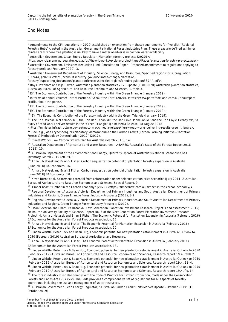#### **End Notes**

<sup>9</sup> EY, *The Economic Contribution of the Forestry Industry within the Green Triangle* (January 2019).

<sup>10</sup> EY, *The Economic Contribution of the Forestry Industry within the Green Triangle* (January 2019).

<sup>11</sup> The Hon. Michael McCormack MP, the Hon Dan Tehan MP, the Hon Luke Donnellan MP and the Hon Gavle Tierney MP, "A flurry of road works deliver results in the "Green Triangle" (Joint Media Release, 18 August 2018)

<https://minister.infrastructure.gov.au/mccormack/media-release/flurry-road-works-delivering-results-green-triangle>. <sup>12</sup> See, e.g. Josh Frydenberg, "Explanatory Memorandum to the *Carbon Credits (Carbon Farming Initiative—Plantation Forestry) Methodology Determination 2017"* (2017).

<sup>13</sup> ClimateWorks, *Low Carbon Growth Plan for Australia* (March 2010), 14.

<sup>14</sup> Australian Department of Agriculture and Water Resources – ABARES, *Australia's State of the Forests Report 2018* (2018), 10.

<sup>15</sup> Australian Department of the Environment and Energy, *Quarterly Update of Australia's National Greenhouse Gas Inventory: March 2019* (2019), 3.

<sup>16</sup> Anna L Matysek and Brian S Fisher, *Carbon sequestration potential of plantation forestry expansion in Australia* (June 2018) BAEconomics, 16.

<sup>17</sup> Anna L Matysek and Brian S Fisher, *Carbon sequestration potential of plantation forestry expansion in Australia* (June 2018) BAEconomics, 10.

<sup>18</sup> Kevin Burns et al, *Abatement potential from reforestation under selected carbon price scenarios* (July 2011) Australian Bureau of Agricultural and Resource Economics and Sciences, Special Report, 9.

<sup>19</sup> Timber NSW, "Timber in the Carbon Economy" (2020) <https://timbernsw.com.au/timber-in-the-carbon-economy/>.

<sup>20</sup> Regional Development Australia, Victorian Department of Primary Industries and South Australian Department of Primary Industries and Regions, *Green Triangle Forest Industry Prospects* (2012), 8-9.

<sup>21</sup> Regional Development Australia, Victorian Department of Primary Industries and South Australian Department of Primary Industries and Regions, *Green Triangle Forest Industry Prospects* (2012).

<sup>22</sup> Dean Severino and Chathura Hasanka, *Next Generation Plantation Investment Research Project: Land assessment* (2015) Melbourne University Faculty of Science, Report No. 5 of the Next Generation Forest Plantation Investment Research Project, 4, Anna L Matysek and Brian S Fisher, *The Economic Potential for Plantation Expansion in Australia* (February 2016) BAEconomics for the Australian Forest Products Association, 17.

<sup>23</sup> Anna L Matysek and Brian S Fisher, *The Economic Potential for Plantation Expansion in Australia* (February 2016) BAEconomics for the Australian Forest Products Association, 17.

<sup>24</sup> Linden Whittle, Peter Lock and Beau Hug, *Economic potential for new plantation establishment in Australia: Outlook to 2050* (February 2019) Australian Bureau of Agricultural and Resource.

<sup>25</sup> Anna L Matysek and Brian S Fisher, *The Economic Potential for Plantation Expansion in Australia* (February 2016) BAEconomics for the Australian Forest Products Association, 18.

<sup>26</sup> Linden Whittle, Peter Lock & Beau Hug, *Economic potential for new plantation establishment in Australia: Outlook to 2050* (February 2019) Australian Bureau of Agricultural and Resource Economics and Sciences, Research report 19.4, table 2. <sup>27</sup> Linden Whittle, Peter Lock & Beau Hug, *Economic potential for new plantation establishment in Australia: Outlook to 2050*

(February 2019) Australian Bureau of Agricultural and Resource Economics and Sciences, Research report 19.4, 21- 4.

<sup>28</sup> Linden Whittle, Peter Lock & Beau Hug, *Economic potential for new plantation establishment in Australia: Outlook to 2050* (February 2019) Australian Bureau of Agricultural and Resource Economics and Sciences, Research report 19.4, fig. 14.

<sup>29</sup> The forest industry must also comply with the Code of Practice for Timber Production, made under *the Conservation Forests and Lands Act 1987* (Vic). The Code provides a comprehensive set of regulations for all aspects of forestry operations, including the use and management of water resources.

<sup>30</sup> Australian Government Clean Energy Regulator, "Australian Carbon Credit Units Market Update - October 2019" (18 October 2019)

<sup>&</sup>lt;sup>1</sup> Amendments to the CFI regulations in 2020 established an exemption from these requirements for five pilot "Regional Forestry Hubs" created in the Australian Government's National Forest Industries Plan. These areas are defined as higher rainfall areas where tree planting is unlikely to have a material adverse impact on water availability.

<sup>2</sup> Australian Government, Clean Energy Regulator, *Plantation forestry projects* (2020) <

http://www.cleanenergyregulator.gov.au/csf/how-it-works/explore-project-types/Pages/plantation-forestry-projects.aspx> <sup>3</sup> Australian Government, *Emissions Reduction Fund: Consultation Paper – Proposed amendments to regulations applying to forestry projects* (February 2020), 3.

<sup>4</sup> Australian Government Department of Industry, Science, Energy and Resources, *Specified regions for subregulation 3.37(4A)* (2020) <https://consult.industry.gov.au/climate-change/plantation-

forestry/supporting\_documents/plantationforestryspecifiedregionsforsubregulation3374A.pdf>.

<sup>5</sup> Rhys Downham and Mijo Gavran, *Australian plantation statistics 2020 update* (June 2020) Australian plantation statistics, Australian Bureau of Agricultural and Resource Economics and Sciences, 3, table 3.

<sup>6</sup> EY, *The Economic Contribution of the Forestry Industry within the Green Triangle* (January 2019).

<sup>&</sup>lt;sup>7</sup> In terms of annual volume: Port of Portland, "About the Port" (2020).<https://www.portofportland.com.au/about/portprofile/about-the-port/>.

<sup>&</sup>lt;sup>8</sup> EY, *The Economic Contribution of the Forestry Industry within the Green Triangle* (January 2019).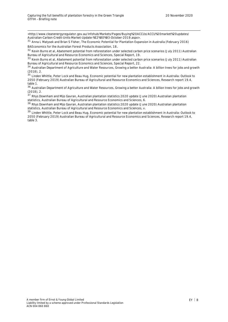<http://www.cleanenergyregulator.gov.au/Infohub/Markets/Pages/Buying%20ACCUs/ACCU%20market%20updates/ Australian-Carbon-Credit-Units-Market-Update-%E2%80%93-October-2019.aspx>.

<sup>31</sup> Anna L Matysek and Brian S Fisher, *The Economic Potential for Plantation Expansion in Australia* (February 2016) BAEconomics for the Australian Forest Products Association, 18.

<sup>32</sup> Kevin Burns et al, *Abatement potential from reforestation under selected carbon price scenarios* (July 2011) Australian Bureau of Agricultural and Resource Economics and Sciences, Special Report, 19.

<sup>33</sup> Kevin Burns et al, *Abatement potential from reforestation under selected carbon price scenarios* (July 2011) Australian Bureau of Agricultural and Resource Economics and Sciences, Special Report, 22.

<sup>34</sup> Australian Department of Agriculture and Water Resources, *Growing a better Australia: A billion trees for jobs and growth* (2018), 2.

<sup>35</sup> Linden Whittle, Peter Lock and Beau Hug, *Economic potential for new plantation establishment in Australia: Outlook to 2050* (February 2019) Australian Bureau of Agricultural and Resource Economics and Sciences, Research report 19.4, table 1.

<sup>36</sup> Australian Department of Agriculture and Water Resources, *Growing a better Australia: A billion trees for jobs and growth* (2018), 2.

<sup>37</sup> Rhys Downham and Mijo Gavran, *Australian plantation statistics 2020 update* (June 2020) Australian plantation statistics, Australian Bureau of Agricultural and Resource Economics and Sciences, 6.

<sup>38</sup> Rhys Downham and Mijo Gavran, *Australian plantation statistics 2020 update* (June 2020) Australian plantation statistics, Australian Bureau of Agricultural and Resource Economics and Sciences, v.

<sup>39</sup> Linden Whittle, Peter Lock and Beau Hug, Econom*ic potential for new plantation establishment in Australia: Outlook to 2050* (February 2019) Australian Bureau of Agricultural and Resource Economics and Sciences, Research report 19.4, table 3.